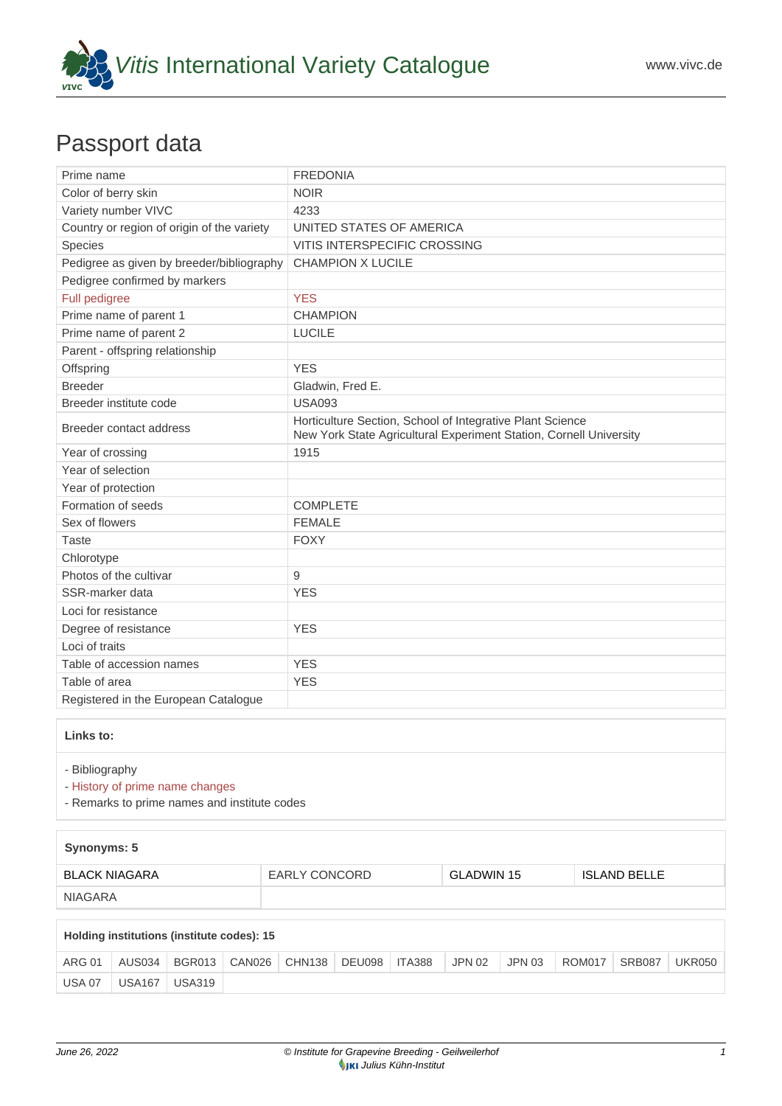

## Passport data

| Prime name                                 | <b>FREDONIA</b>                                                                                                                 |
|--------------------------------------------|---------------------------------------------------------------------------------------------------------------------------------|
| Color of berry skin                        | <b>NOIR</b>                                                                                                                     |
| Variety number VIVC                        | 4233                                                                                                                            |
| Country or region of origin of the variety | UNITED STATES OF AMERICA                                                                                                        |
| Species                                    | VITIS INTERSPECIFIC CROSSING                                                                                                    |
| Pedigree as given by breeder/bibliography  | <b>CHAMPION X LUCILE</b>                                                                                                        |
| Pedigree confirmed by markers              |                                                                                                                                 |
| Full pedigree                              | <b>YES</b>                                                                                                                      |
| Prime name of parent 1                     | <b>CHAMPION</b>                                                                                                                 |
| Prime name of parent 2                     | <b>LUCILE</b>                                                                                                                   |
| Parent - offspring relationship            |                                                                                                                                 |
| Offspring                                  | <b>YES</b>                                                                                                                      |
| <b>Breeder</b>                             | Gladwin, Fred E.                                                                                                                |
| Breeder institute code                     | <b>USA093</b>                                                                                                                   |
| Breeder contact address                    | Horticulture Section, School of Integrative Plant Science<br>New York State Agricultural Experiment Station, Cornell University |
| Year of crossing                           | 1915                                                                                                                            |
| Year of selection                          |                                                                                                                                 |
| Year of protection                         |                                                                                                                                 |
| Formation of seeds                         | <b>COMPLETE</b>                                                                                                                 |
| Sex of flowers                             | <b>FEMALE</b>                                                                                                                   |
| <b>Taste</b>                               | <b>FOXY</b>                                                                                                                     |
| Chlorotype                                 |                                                                                                                                 |
| Photos of the cultivar                     | 9                                                                                                                               |
| SSR-marker data                            | <b>YES</b>                                                                                                                      |
| Loci for resistance                        |                                                                                                                                 |
| Degree of resistance                       | <b>YES</b>                                                                                                                      |
| Loci of traits                             |                                                                                                                                 |
| Table of accession names                   | <b>YES</b>                                                                                                                      |
| Table of area                              | <b>YES</b>                                                                                                                      |
| Registered in the European Catalogue       |                                                                                                                                 |
|                                            |                                                                                                                                 |

## **Links to:**

## - [Bibliography](https://www.vivc.de/index.php?r=literaturverweise%2Fbibliography&LiteraturverweiseSearch[kenn_nr2]=4233&LiteraturverweiseSearch[leitname2]=FREDONIA)

- [History of prime name changes](https://www.vivc.de/index.php?HistorieSearch[kenn_nr_neu2]=4233&r=historie%2Findex1&sort=leitname_neu)

- [Remarks to prime names and institute codes](#page--1-0)

| Synonyms: 5          |               |                   |                     |  |  |  |  |  |
|----------------------|---------------|-------------------|---------------------|--|--|--|--|--|
| <b>BLACK NIAGARA</b> | EARLY CONCORD | <b>GLADWIN 15</b> | <b>ISLAND BELLE</b> |  |  |  |  |  |
| NIAGARA              |               |                   |                     |  |  |  |  |  |

| Holding institutions (institute codes): 15 |               |                                            |  |  |  |  |        |        |        |        |               |
|--------------------------------------------|---------------|--------------------------------------------|--|--|--|--|--------|--------|--------|--------|---------------|
| <b>ARG 01</b>                              | AUS034        | BGR013   CAN026   CHN138   DEU098   ITA388 |  |  |  |  | JPN 02 | JPN 03 | ROM017 | SRB087 | <b>UKR050</b> |
| <b>USA 07</b>                              | <b>USA167</b> | USA319                                     |  |  |  |  |        |        |        |        |               |